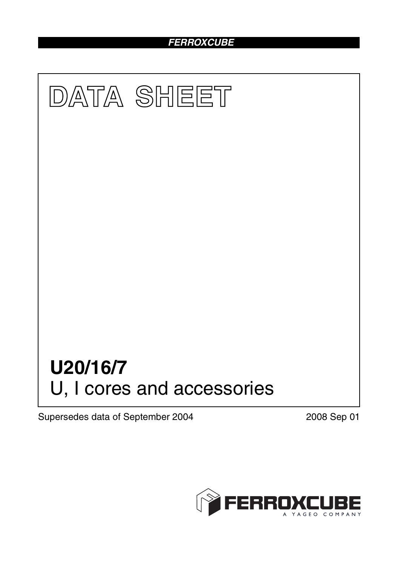## *FERROXCUBE*



Supersedes data of September 2004 2008 Sep 01

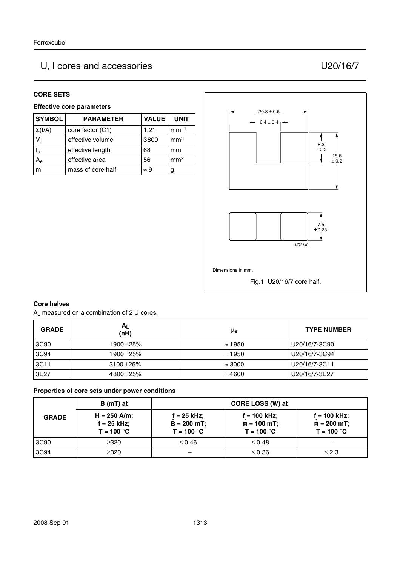# U, I cores and accessories U20/16/7

#### **CORE SETS**

#### **Effective core parameters**

| <b>SYMBOL</b>             | <b>PARAMETER</b>  | <b>VALUE</b> | <b>UNIT</b>     |
|---------------------------|-------------------|--------------|-----------------|
| $\Sigma(I/A)$             | core factor (C1)  | 1.21         | $mm-1$          |
| $\mathsf{V}_{\mathsf{e}}$ | effective volume  | 3800         | mm <sup>3</sup> |
| $\mathsf{I}_{\mathsf{e}}$ | effective length  | 68           | mm              |
| A <sub>e</sub>            | effective area    | 56           | mm <sup>2</sup> |
|                           | mass of core half | $\approx 9$  | g               |



#### **Core halves**

AL measured on a combination of 2 U cores.

| <b>GRADE</b> | $A_{L}$<br>(nH) | μe             | <b>TYPE NUMBER</b> |
|--------------|-----------------|----------------|--------------------|
| 3C90         | 1900 ±25%       | $\approx$ 1950 | U20/16/7-3C90      |
| 3C94         | 1900 ±25%       | $\approx$ 1950 | U20/16/7-3C94      |
| 3C11         | $3100 + 25%$    | $\approx 3000$ | U20/16/7-3C11      |
| 3E27         | $4800 + 25%$    | $\approx 4600$ | U20/16/7-3E27      |

#### **Properties of core sets under power conditions**

|              | B (mT) at                                     |                                                | CORE LOSS (W) at                                |                                                 |
|--------------|-----------------------------------------------|------------------------------------------------|-------------------------------------------------|-------------------------------------------------|
| <b>GRADE</b> | $H = 250$ A/m;<br>f = 25 kHz;<br>$T = 100 °C$ | $f = 25$ kHz:<br>$B = 200$ mT;<br>$T = 100 °C$ | $f = 100$ kHz;<br>$B = 100$ mT;<br>$T = 100 °C$ | $f = 100$ kHz;<br>$B = 200$ mT;<br>$T = 100 °C$ |
| 3C90         | $\geq$ 320                                    | $\leq 0.46$                                    | $\leq 0.48$                                     |                                                 |
| 3C94         | ≥320                                          |                                                | $\leq 0.36$                                     | $\leq$ 2.3                                      |